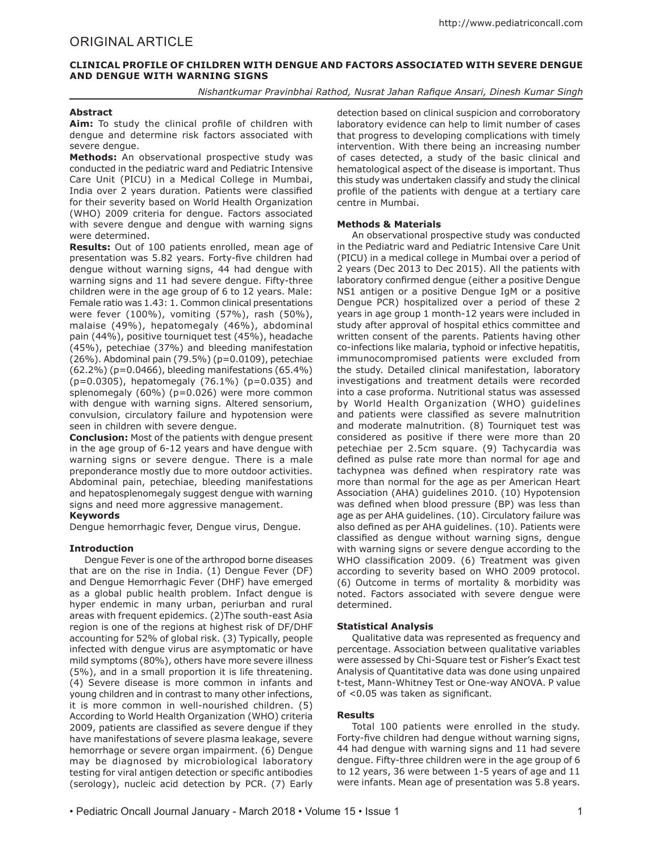# **CLINICAL PROFILE OF CHILDREN WITH DENGUE AND FACTORS ASSOCIATED WITH SEVERE DENGUE AND DENGUE WITH WARNING SIGNS**

*Nishantkumar Pravinbhai Rathod, Nusrat Jahan Rafique Ansari, Dinesh Kumar Singh*

## **Abstract**

**Aim:** To study the clinical profile of children with dengue and determine risk factors associated with severe dengue.

**Methods:** An observational prospective study was conducted in the pediatric ward and Pediatric Intensive Care Unit (PICU) in a Medical College in Mumbai, India over 2 years duration. Patients were classified for their severity based on World Health Organization (WHO) 2009 criteria for dengue. Factors associated with severe dengue and dengue with warning signs were determined.

**Results:** Out of 100 patients enrolled, mean age of presentation was 5.82 years. Forty-five children had dengue without warning signs, 44 had dengue with warning signs and 11 had severe dengue. Fifty-three children were in the age group of 6 to 12 years. Male: Female ratio was 1.43: 1. Common clinical presentations were fever (100%), vomiting (57%), rash (50%), malaise (49%), hepatomegaly (46%), abdominal pain (44%), positive tourniquet test (45%), headache (45%), petechiae (37%) and bleeding manifestation (26%). Abdominal pain (79.5%) (p=0.0109), petechiae (62.2%) (p=0.0466), bleeding manifestations (65.4%) (p=0.0305), hepatomegaly (76.1%) (p=0.035) and splenomegaly (60%) (p=0.026) were more common with dengue with warning signs. Altered sensorium, convulsion, circulatory failure and hypotension were seen in children with severe dengue.

**Conclusion:** Most of the patients with dengue present in the age group of 6-12 years and have dengue with warning signs or severe dengue. There is a male preponderance mostly due to more outdoor activities. Abdominal pain, petechiae, bleeding manifestations and hepatosplenomegaly suggest dengue with warning signs and need more aggressive management.

## **Keywords**

Dengue hemorrhagic fever, Dengue virus, Dengue.

### **Introduction**

Dengue Fever is one of the arthropod borne diseases that are on the rise in India. (1) Dengue Fever (DF) and Dengue Hemorrhagic Fever (DHF) have emerged as a global public health problem. Infact dengue is hyper endemic in many urban, periurban and rural areas with frequent epidemics. (2)The south-east Asia region is one of the regions at highest risk of DF/DHF accounting for 52% of global risk. (3) Typically, people infected with dengue virus are asymptomatic or have mild symptoms (80%), others have more severe illness (5%), and in a small proportion it is life threatening. (4) Severe disease is more common in infants and young children and in contrast to many other infections, it is more common in well-nourished children. (5) According to World Health Organization (WHO) criteria 2009, patients are classified as severe dengue if they have manifestations of severe plasma leakage, severe hemorrhage or severe organ impairment. (6) Dengue may be diagnosed by microbiological laboratory testing for viral antigen detection or specific antibodies (serology), nucleic acid detection by PCR. (7) Early

detection based on clinical suspicion and corroboratory laboratory evidence can help to limit number of cases that progress to developing complications with timely intervention. With there being an increasing number of cases detected, a study of the basic clinical and hematological aspect of the disease is important. Thus this study was undertaken classify and study the clinical profile of the patients with dengue at a tertiary care centre in Mumbai.

### **Methods & Materials**

An observational prospective study was conducted in the Pediatric ward and Pediatric Intensive Care Unit (PICU) in a medical college in Mumbai over a period of 2 years (Dec 2013 to Dec 2015). All the patients with laboratory confirmed dengue (either a positive Dengue NS1 antigen or a positive Dengue IgM or a positive Dengue PCR) hospitalized over a period of these 2 years in age group 1 month-12 years were included in study after approval of hospital ethics committee and written consent of the parents. Patients having other co-infections like malaria, typhoid or infective hepatitis, immunocompromised patients were excluded from the study. Detailed clinical manifestation, laboratory investigations and treatment details were recorded into a case proforma. Nutritional status was assessed by World Health Organization (WHO) guidelines and patients were classified as severe malnutrition and moderate malnutrition. (8) Tourniquet test was considered as positive if there were more than 20 petechiae per 2.5cm square. (9) Tachycardia was defined as pulse rate more than normal for age and tachypnea was defined when respiratory rate was more than normal for the age as per American Heart Association (AHA) guidelines 2010. (10) Hypotension was defined when blood pressure (BP) was less than age as per AHA guidelines. (10). Circulatory failure was also defined as per AHA guidelines. (10). Patients were classified as dengue without warning signs, dengue with warning signs or severe dengue according to the WHO classification 2009. (6) Treatment was given according to severity based on WHO 2009 protocol. (6) Outcome in terms of mortality & morbidity was noted. Factors associated with severe dengue were determined.

### **Statistical Analysis**

Qualitative data was represented as frequency and percentage. Association between qualitative variables were assessed by Chi-Square test or Fisher's Exact test Analysis of Quantitative data was done using unpaired t-test, Mann-Whitney Test or One-way ANOVA. P value of <0.05 was taken as significant.

### **Results**

Total 100 patients were enrolled in the study. Forty-five children had dengue without warning signs, 44 had dengue with warning signs and 11 had severe dengue. Fifty-three children were in the age group of 6 to 12 years, 36 were between 1-5 years of age and 11 were infants. Mean age of presentation was 5.8 years.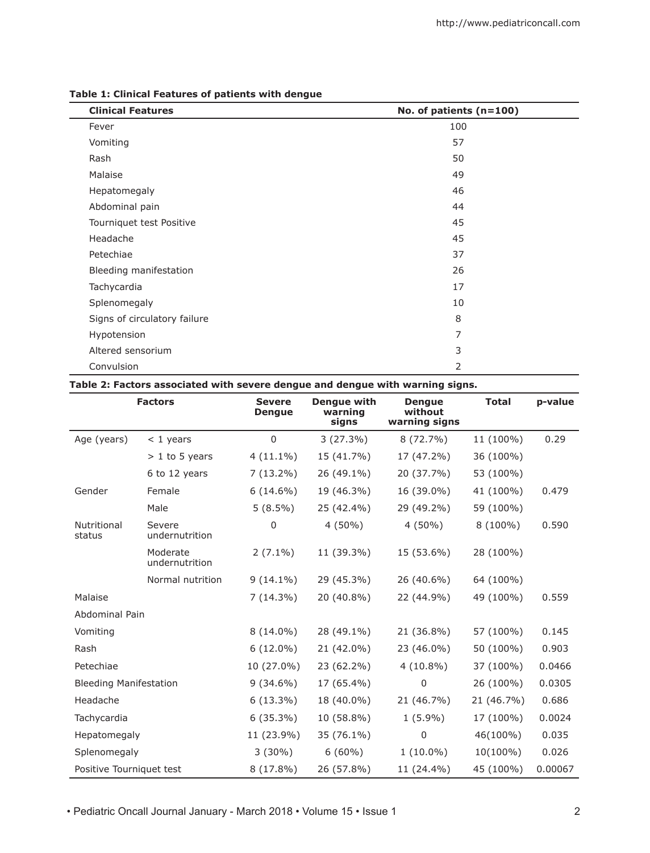| <b>Clinical Features</b>     | No. of patients (n=100) |  |  |
|------------------------------|-------------------------|--|--|
| Fever                        | 100                     |  |  |
| Vomiting                     | 57                      |  |  |
| Rash                         | 50                      |  |  |
| Malaise                      | 49                      |  |  |
| Hepatomegaly                 | 46                      |  |  |
| Abdominal pain               | 44                      |  |  |
| Tourniquet test Positive     | 45                      |  |  |
| Headache                     | 45                      |  |  |
| Petechiae                    | 37                      |  |  |
| Bleeding manifestation       | 26                      |  |  |
| Tachycardia                  | 17                      |  |  |
| Splenomegaly                 | 10                      |  |  |
| Signs of circulatory failure | 8                       |  |  |
| Hypotension                  | 7                       |  |  |
| Altered sensorium            | 3                       |  |  |
| Convulsion                   | 2                       |  |  |

# **Table 1: Clinical Features of patients with dengue**

# **Table 2: Factors associated with severe dengue and dengue with warning signs.**

|                               | <b>Factors</b>             | <b>Severe</b><br><b>Dengue</b> | <b>Dengue with</b><br>warning<br>signs | <b>Dengue</b><br>without<br>warning signs | <b>Total</b> | p-value |
|-------------------------------|----------------------------|--------------------------------|----------------------------------------|-------------------------------------------|--------------|---------|
| Age (years)                   | $<$ 1 years                | $\Omega$                       | $3(27.3\%)$                            | $8(72.7\%)$                               | 11 (100%)    | 0.29    |
|                               | $> 1$ to 5 years           | $4(11.1\%)$                    | 15 (41.7%)                             | 17 (47.2%)                                | 36 (100%)    |         |
|                               | 6 to 12 years              | $7(13.2\%)$                    | 26 (49.1%)                             | 20 (37.7%)                                | 53 (100%)    |         |
| Gender                        | Female                     | $6(14.6\%)$                    | 19 (46.3%)                             | 16 (39.0%)                                | 41 (100%)    | 0.479   |
|                               | Male                       | $5(8.5\%)$                     | 25 (42.4%)                             | 29 (49.2%)                                | 59 (100%)    |         |
| Nutritional<br>status         | Severe<br>undernutrition   | $\Omega$                       | $4(50\%)$                              | $4(50\%)$                                 | 8 (100%)     | 0.590   |
|                               | Moderate<br>undernutrition | $2(7.1\%)$                     | 11 (39.3%)                             | 15 (53.6%)                                | 28 (100%)    |         |
|                               | Normal nutrition           | $9(14.1\%)$                    | 29 (45.3%)                             | 26 (40.6%)                                | 64 (100%)    |         |
| Malaise                       |                            | $7(14.3\%)$                    | 20 (40.8%)                             | 22 (44.9%)                                | 49 (100%)    | 0.559   |
| Abdominal Pain                |                            |                                |                                        |                                           |              |         |
| Vomiting                      |                            | $8(14.0\%)$                    | 28 (49.1%)                             | 21 (36.8%)                                | 57 (100%)    | 0.145   |
| Rash                          |                            | $6(12.0\%)$                    | 21 (42.0%)                             | 23 (46.0%)                                | 50 (100%)    | 0.903   |
| Petechiae                     |                            | 10 (27.0%)                     | 23 (62.2%)                             | $4(10.8\%)$                               | 37 (100%)    | 0.0466  |
| <b>Bleeding Manifestation</b> |                            | $9(34.6\%)$                    | 17 (65.4%)                             | $\Omega$                                  | 26 (100%)    | 0.0305  |
| Headache                      |                            | $6(13.3\%)$                    | 18 (40.0%)                             | 21 (46.7%)                                | 21 (46.7%)   | 0.686   |
| Tachycardia                   |                            | $6(35.3\%)$                    | 10 (58.8%)                             | $1(5.9\%)$                                | 17 (100%)    | 0.0024  |
| Hepatomegaly                  |                            | 11 (23.9%)                     | 35 (76.1%)                             | $\Omega$                                  | 46(100%)     | 0.035   |
| Splenomegaly                  |                            | $3(30\%)$                      | $6(60\%)$                              | $1(10.0\%)$                               | 10(100%)     | 0.026   |
| Positive Tourniquet test      |                            | $8(17.8\%)$                    | 26 (57.8%)                             | 11 (24.4%)                                | 45 (100%)    | 0.00067 |

• Pediatric Oncall Journal January - March 2018 • Volume 15 • Issue 1 2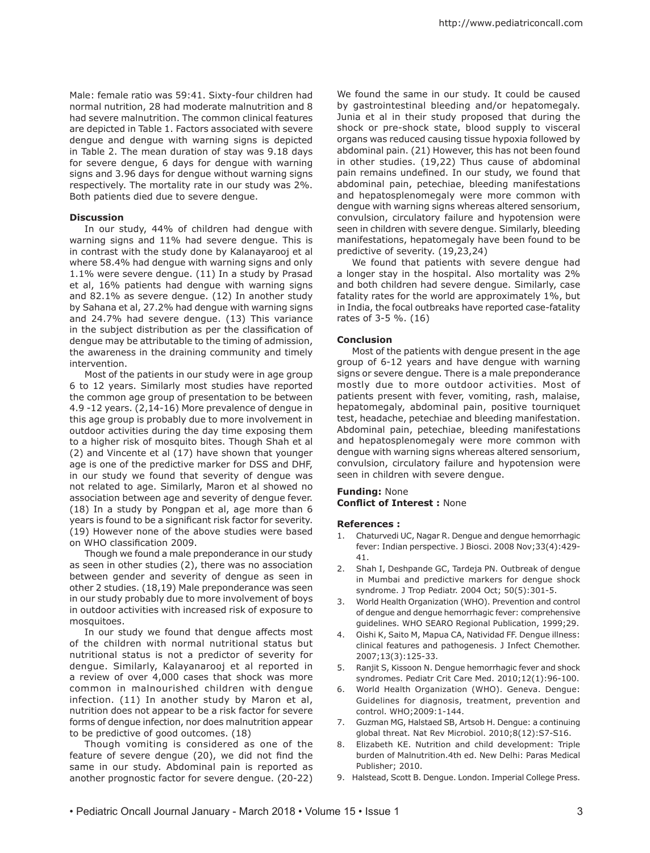Male: female ratio was 59:41. Sixty-four children had normal nutrition, 28 had moderate malnutrition and 8 had severe malnutrition. The common clinical features are depicted in Table 1. Factors associated with severe dengue and dengue with warning signs is depicted in Table 2. The mean duration of stay was 9.18 days for severe dengue, 6 days for dengue with warning signs and 3.96 days for dengue without warning signs respectively. The mortality rate in our study was 2%. Both patients died due to severe dengue.

#### **Discussion**

In our study, 44% of children had dengue with warning signs and 11% had severe dengue. This is in contrast with the study done by Kalanayarooj et al where 58.4% had dengue with warning signs and only 1.1% were severe dengue. (11) In a study by Prasad et al, 16% patients had dengue with warning signs and 82.1% as severe dengue. (12) In another study by Sahana et al, 27.2% had dengue with warning signs and 24.7% had severe dengue. (13) This variance in the subject distribution as per the classification of dengue may be attributable to the timing of admission, the awareness in the draining community and timely intervention.

Most of the patients in our study were in age group 6 to 12 years. Similarly most studies have reported the common age group of presentation to be between 4.9 -12 years. (2,14-16) More prevalence of dengue in this age group is probably due to more involvement in outdoor activities during the day time exposing them to a higher risk of mosquito bites. Though Shah et al (2) and Vincente et al (17) have shown that younger age is one of the predictive marker for DSS and DHF, in our study we found that severity of dengue was not related to age. Similarly, Maron et al showed no association between age and severity of dengue fever. (18) In a study by Pongpan et al, age more than 6 years is found to be a significant risk factor for severity. (19) However none of the above studies were based on WHO classification 2009.

Though we found a male preponderance in our study as seen in other studies (2), there was no association between gender and severity of dengue as seen in other 2 studies. (18,19) Male preponderance was seen in our study probably due to more involvement of boys in outdoor activities with increased risk of exposure to mosquitoes.

In our study we found that dengue affects most of the children with normal nutritional status but nutritional status is not a predictor of severity for dengue. Similarly, Kalayanarooj et al reported in a review of over 4,000 cases that shock was more common in malnourished children with dengue infection. (11) In another study by Maron et al, nutrition does not appear to be a risk factor for severe forms of dengue infection, nor does malnutrition appear to be predictive of good outcomes. (18)

Though vomiting is considered as one of the feature of severe dengue (20), we did not find the same in our study. Abdominal pain is reported as another prognostic factor for severe dengue. (20-22)

We found the same in our study. It could be caused by gastrointestinal bleeding and/or hepatomegaly. Junia et al in their study proposed that during the shock or pre-shock state, blood supply to visceral organs was reduced causing tissue hypoxia followed by abdominal pain. (21) However, this has not been found in other studies. (19,22) Thus cause of abdominal pain remains undefined. In our study, we found that abdominal pain, petechiae, bleeding manifestations and hepatosplenomegaly were more common with dengue with warning signs whereas altered sensorium, convulsion, circulatory failure and hypotension were seen in children with severe dengue. Similarly, bleeding manifestations, hepatomegaly have been found to be predictive of severity. (19,23,24)

We found that patients with severe dengue had a longer stay in the hospital. Also mortality was 2% and both children had severe dengue. Similarly, case fatality rates for the world are approximately 1%, but in India, the focal outbreaks have reported case-fatality rates of 3-5 %. (16)

#### **Conclusion**

Most of the patients with dengue present in the age group of 6-12 years and have dengue with warning signs or severe dengue. There is a male preponderance mostly due to more outdoor activities. Most of patients present with fever, vomiting, rash, malaise, hepatomegaly, abdominal pain, positive tourniquet test, headache, petechiae and bleeding manifestation. Abdominal pain, petechiae, bleeding manifestations and hepatosplenomegaly were more common with dengue with warning signs whereas altered sensorium, convulsion, circulatory failure and hypotension were seen in children with severe dengue.

#### **Funding:** None

**Conflict of Interest :** None

#### **References :**

- 1. Chaturvedi UC, Nagar R. Dengue and dengue hemorrhagic fever: Indian perspective. J Biosci. 2008 Nov;33(4):429- 41.
- 2. Shah I, Deshpande GC, Tardeja PN. Outbreak of dengue in Mumbai and predictive markers for dengue shock syndrome. J Trop Pediatr. 2004 Oct; 50(5):301-5.
- 3. World Health Organization (WHO). Prevention and control of dengue and dengue hemorrhagic fever: comprehensive guidelines. WHO SEARO Regional Publication, 1999;29.
- 4. Oishi K, Saito M, Mapua CA, Natividad FF. Dengue illness: clinical features and pathogenesis. J Infect Chemother. 2007;13(3):125-33.
- 5. Ranjit S, Kissoon N. Dengue hemorrhagic fever and shock syndromes. Pediatr Crit Care Med. 2010;12(1):96-100.
- 6. World Health Organization (WHO). Geneva. Dengue: Guidelines for diagnosis, treatment, prevention and control. WHO;2009:1-144.
- 7. Guzman MG, Halstaed SB, Artsob H. Dengue: a continuing global threat. Nat Rev Microbiol. 2010;8(12):S7-S16.
- Elizabeth KE. Nutrition and child development: Triple burden of Malnutrition.4th ed. New Delhi: Paras Medical Publisher; 2010.
- 9. Halstead, Scott B. Dengue. London. Imperial College Press.